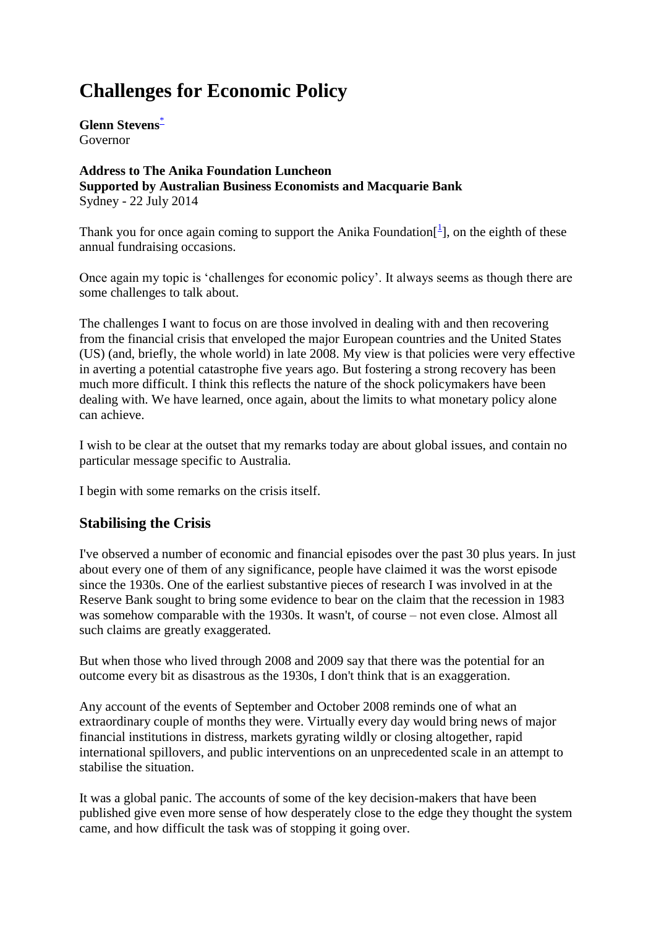# **Challenges for Economic Policy**

**Glenn Stevens**[\\*](http://www.rba.gov.au/speeches/2014/sp-gov-220714.html#f) Governor

**Address to The Anika Foundation Luncheon Supported by Australian Business Economists and Macquarie Bank**  Sydney - 22 July 2014

Thank you for once again coming to support the Anika Foundation $[$ <sup>1</sup> $]$ , on the eighth of these annual fundraising occasions.

Once again my topic is 'challenges for economic policy'. It always seems as though there are some challenges to talk about.

The challenges I want to focus on are those involved in dealing with and then recovering from the financial crisis that enveloped the major European countries and the United States (US) (and, briefly, the whole world) in late 2008. My view is that policies were very effective in averting a potential catastrophe five years ago. But fostering a strong recovery has been much more difficult. I think this reflects the nature of the shock policymakers have been dealing with. We have learned, once again, about the limits to what monetary policy alone can achieve.

I wish to be clear at the outset that my remarks today are about global issues, and contain no particular message specific to Australia.

I begin with some remarks on the crisis itself.

#### **Stabilising the Crisis**

I've observed a number of economic and financial episodes over the past 30 plus years. In just about every one of them of any significance, people have claimed it was the worst episode since the 1930s. One of the earliest substantive pieces of research I was involved in at the Reserve Bank sought to bring some evidence to bear on the claim that the recession in 1983 was somehow comparable with the 1930s. It wasn't, of course – not even close. Almost all such claims are greatly exaggerated.

But when those who lived through 2008 and 2009 say that there was the potential for an outcome every bit as disastrous as the 1930s, I don't think that is an exaggeration.

Any account of the events of September and October 2008 reminds one of what an extraordinary couple of months they were. Virtually every day would bring news of major financial institutions in distress, markets gyrating wildly or closing altogether, rapid international spillovers, and public interventions on an unprecedented scale in an attempt to stabilise the situation.

It was a global panic. The accounts of some of the key decision-makers that have been published give even more sense of how desperately close to the edge they thought the system came, and how difficult the task was of stopping it going over.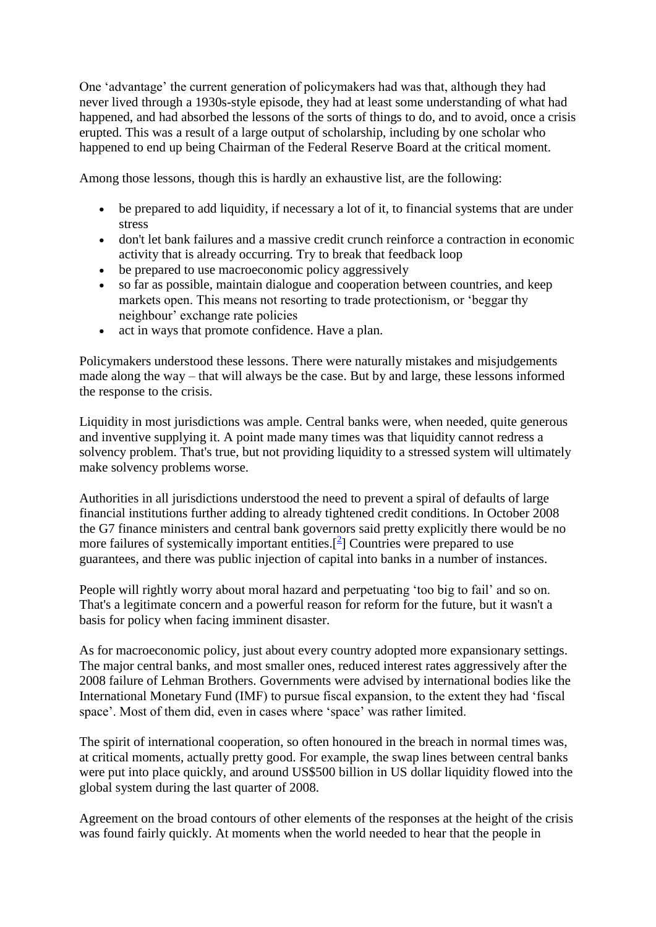One 'advantage' the current generation of policymakers had was that, although they had never lived through a 1930s-style episode, they had at least some understanding of what had happened, and had absorbed the lessons of the sorts of things to do, and to avoid, once a crisis erupted. This was a result of a large output of scholarship, including by one scholar who happened to end up being Chairman of the Federal Reserve Board at the critical moment.

Among those lessons, though this is hardly an exhaustive list, are the following:

- be prepared to add liquidity, if necessary a lot of it, to financial systems that are under stress
- don't let bank failures and a massive credit crunch reinforce a contraction in economic activity that is already occurring. Try to break that feedback loop
- be prepared to use macroeconomic policy aggressively
- so far as possible, maintain dialogue and cooperation between countries, and keep markets open. This means not resorting to trade protectionism, or 'beggar thy neighbour' exchange rate policies
- act in ways that promote confidence. Have a plan.

Policymakers understood these lessons. There were naturally mistakes and misjudgements made along the way – that will always be the case. But by and large, these lessons informed the response to the crisis.

Liquidity in most jurisdictions was ample. Central banks were, when needed, quite generous and inventive supplying it. A point made many times was that liquidity cannot redress a solvency problem. That's true, but not providing liquidity to a stressed system will ultimately make solvency problems worse.

Authorities in all jurisdictions understood the need to prevent a spiral of defaults of large financial institutions further adding to already tightened credit conditions. In October 2008 the G7 finance ministers and central bank governors said pretty explicitly there would be no more failures of systemically important entities. $[{}^{2}]$  $[{}^{2}]$  $[{}^{2}]$  Countries were prepared to use guarantees, and there was public injection of capital into banks in a number of instances.

People will rightly worry about moral hazard and perpetuating 'too big to fail' and so on. That's a legitimate concern and a powerful reason for reform for the future, but it wasn't a basis for policy when facing imminent disaster.

As for macroeconomic policy, just about every country adopted more expansionary settings. The major central banks, and most smaller ones, reduced interest rates aggressively after the 2008 failure of Lehman Brothers. Governments were advised by international bodies like the International Monetary Fund (IMF) to pursue fiscal expansion, to the extent they had 'fiscal space'. Most of them did, even in cases where 'space' was rather limited.

The spirit of international cooperation, so often honoured in the breach in normal times was, at critical moments, actually pretty good. For example, the swap lines between central banks were put into place quickly, and around US\$500 billion in US dollar liquidity flowed into the global system during the last quarter of 2008.

Agreement on the broad contours of other elements of the responses at the height of the crisis was found fairly quickly. At moments when the world needed to hear that the people in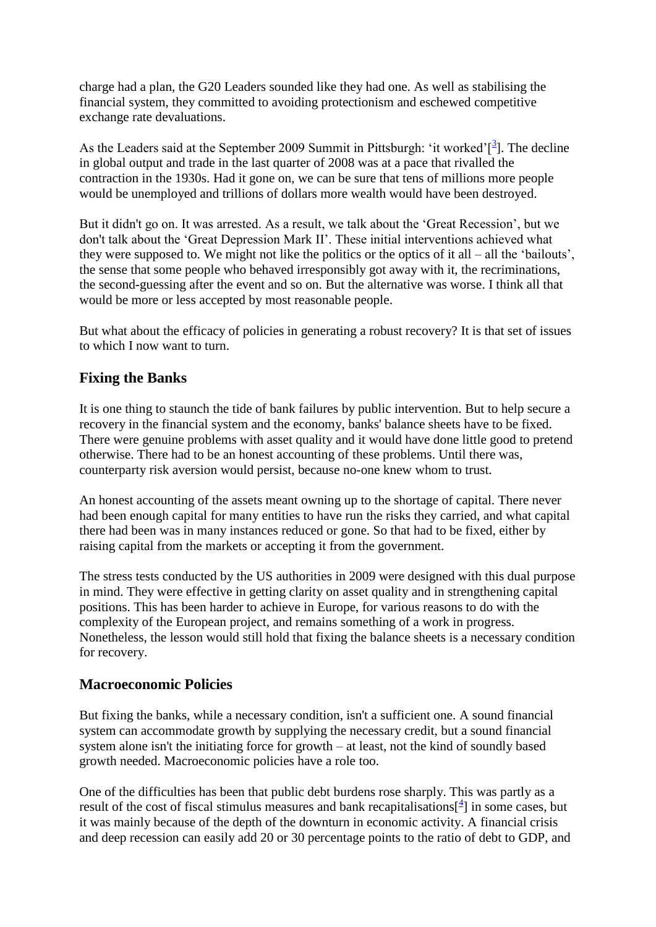charge had a plan, the G20 Leaders sounded like they had one. As well as stabilising the financial system, they committed to avoiding protectionism and eschewed competitive exchange rate devaluations.

As the Leaders said at the September 2009 Summit in Pittsburgh: 'it worked' $\left[\frac{3}{2}\right]$  $\left[\frac{3}{2}\right]$  $\left[\frac{3}{2}\right]$ . The decline in global output and trade in the last quarter of 2008 was at a pace that rivalled the contraction in the 1930s. Had it gone on, we can be sure that tens of millions more people would be unemployed and trillions of dollars more wealth would have been destroyed.

But it didn't go on. It was arrested. As a result, we talk about the 'Great Recession', but we don't talk about the 'Great Depression Mark II'. These initial interventions achieved what they were supposed to. We might not like the politics or the optics of it all – all the 'bailouts', the sense that some people who behaved irresponsibly got away with it, the recriminations, the second-guessing after the event and so on. But the alternative was worse. I think all that would be more or less accepted by most reasonable people.

But what about the efficacy of policies in generating a robust recovery? It is that set of issues to which I now want to turn.

#### **Fixing the Banks**

It is one thing to staunch the tide of bank failures by public intervention. But to help secure a recovery in the financial system and the economy, banks' balance sheets have to be fixed. There were genuine problems with asset quality and it would have done little good to pretend otherwise. There had to be an honest accounting of these problems. Until there was, counterparty risk aversion would persist, because no-one knew whom to trust.

An honest accounting of the assets meant owning up to the shortage of capital. There never had been enough capital for many entities to have run the risks they carried, and what capital there had been was in many instances reduced or gone. So that had to be fixed, either by raising capital from the markets or accepting it from the government.

The stress tests conducted by the US authorities in 2009 were designed with this dual purpose in mind. They were effective in getting clarity on asset quality and in strengthening capital positions. This has been harder to achieve in Europe, for various reasons to do with the complexity of the European project, and remains something of a work in progress. Nonetheless, the lesson would still hold that fixing the balance sheets is a necessary condition for recovery.

#### **Macroeconomic Policies**

But fixing the banks, while a necessary condition, isn't a sufficient one. A sound financial system can accommodate growth by supplying the necessary credit, but a sound financial system alone isn't the initiating force for growth – at least, not the kind of soundly based growth needed. Macroeconomic policies have a role too.

One of the difficulties has been that public debt burdens rose sharply. This was partly as a result of the cost of fiscal stimulus measures and bank recapitalisations $\left[\frac{4}{3}\right]$  $\left[\frac{4}{3}\right]$  $\left[\frac{4}{3}\right]$  in some cases, but it was mainly because of the depth of the downturn in economic activity. A financial crisis and deep recession can easily add 20 or 30 percentage points to the ratio of debt to GDP, and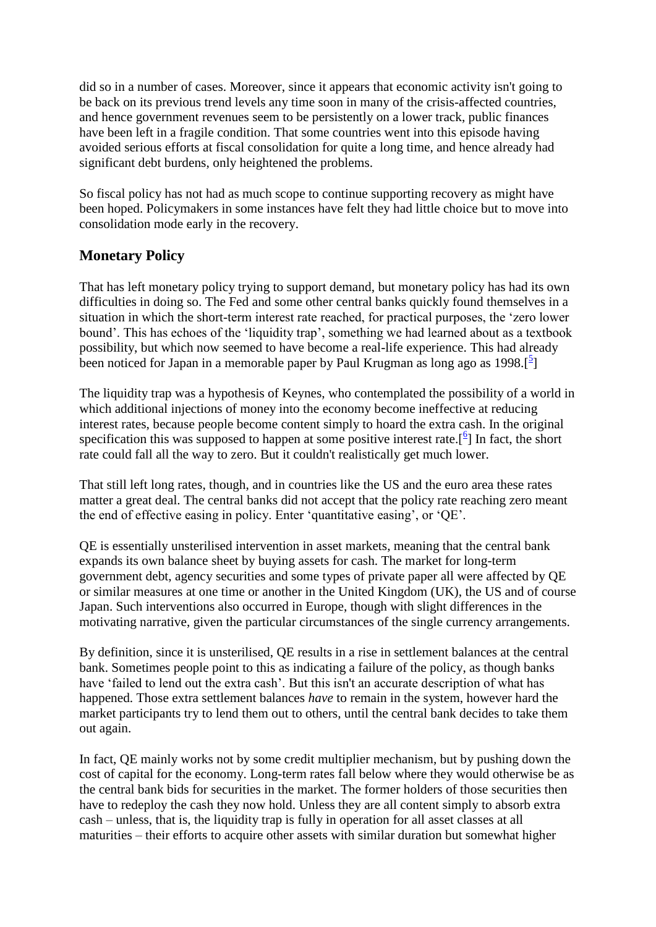did so in a number of cases. Moreover, since it appears that economic activity isn't going to be back on its previous trend levels any time soon in many of the crisis-affected countries, and hence government revenues seem to be persistently on a lower track, public finances have been left in a fragile condition. That some countries went into this episode having avoided serious efforts at fiscal consolidation for quite a long time, and hence already had significant debt burdens, only heightened the problems.

So fiscal policy has not had as much scope to continue supporting recovery as might have been hoped. Policymakers in some instances have felt they had little choice but to move into consolidation mode early in the recovery.

### **Monetary Policy**

That has left monetary policy trying to support demand, but monetary policy has had its own difficulties in doing so. The Fed and some other central banks quickly found themselves in a situation in which the short-term interest rate reached, for practical purposes, the 'zero lower bound'. This has echoes of the 'liquidity trap', something we had learned about as a textbook possibility, but which now seemed to have become a real-life experience. This had already been noticed for Japan in a memorable paper by Paul Krugman as long ago as 1998.<sup>[[5](http://www.rba.gov.au/speeches/2014/sp-gov-220714.html#f5)]</sup>

The liquidity trap was a hypothesis of Keynes, who contemplated the possibility of a world in which additional injections of money into the economy become ineffective at reducing interest rates, because people become content simply to hoard the extra cash. In the original specification this was supposed to happen at some positive interest rate.<sup>[[6](http://www.rba.gov.au/speeches/2014/sp-gov-220714.html#f6)]</sup> In fact, the short rate could fall all the way to zero. But it couldn't realistically get much lower.

That still left long rates, though, and in countries like the US and the euro area these rates matter a great deal. The central banks did not accept that the policy rate reaching zero meant the end of effective easing in policy. Enter 'quantitative easing', or 'QE'.

QE is essentially unsterilised intervention in asset markets, meaning that the central bank expands its own balance sheet by buying assets for cash. The market for long-term government debt, agency securities and some types of private paper all were affected by QE or similar measures at one time or another in the United Kingdom (UK), the US and of course Japan. Such interventions also occurred in Europe, though with slight differences in the motivating narrative, given the particular circumstances of the single currency arrangements.

By definition, since it is unsterilised, QE results in a rise in settlement balances at the central bank. Sometimes people point to this as indicating a failure of the policy, as though banks have 'failed to lend out the extra cash'. But this isn't an accurate description of what has happened. Those extra settlement balances *have* to remain in the system, however hard the market participants try to lend them out to others, until the central bank decides to take them out again.

In fact, QE mainly works not by some credit multiplier mechanism, but by pushing down the cost of capital for the economy. Long-term rates fall below where they would otherwise be as the central bank bids for securities in the market. The former holders of those securities then have to redeploy the cash they now hold. Unless they are all content simply to absorb extra cash – unless, that is, the liquidity trap is fully in operation for all asset classes at all maturities – their efforts to acquire other assets with similar duration but somewhat higher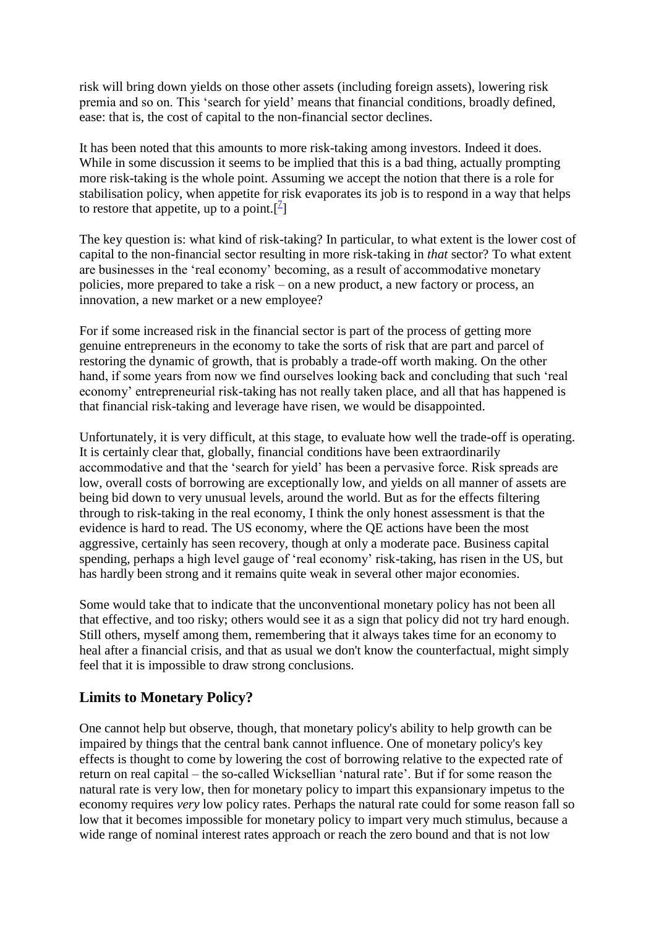risk will bring down yields on those other assets (including foreign assets), lowering risk premia and so on. This 'search for yield' means that financial conditions, broadly defined, ease: that is, the cost of capital to the non-financial sector declines.

It has been noted that this amounts to more risk-taking among investors. Indeed it does. While in some discussion it seems to be implied that this is a bad thing, actually prompting more risk-taking is the whole point. Assuming we accept the notion that there is a role for stabilisation policy, when appetite for risk evaporates its job is to respond in a way that helps to restore that appetite, up to a point.[ $^2$ [\]](http://www.rba.gov.au/speeches/2014/sp-gov-220714.html#f7)

The key question is: what kind of risk-taking? In particular, to what extent is the lower cost of capital to the non-financial sector resulting in more risk-taking in *that* sector? To what extent are businesses in the 'real economy' becoming, as a result of accommodative monetary policies, more prepared to take a risk – on a new product, a new factory or process, an innovation, a new market or a new employee?

For if some increased risk in the financial sector is part of the process of getting more genuine entrepreneurs in the economy to take the sorts of risk that are part and parcel of restoring the dynamic of growth, that is probably a trade-off worth making. On the other hand, if some years from now we find ourselves looking back and concluding that such 'real economy' entrepreneurial risk-taking has not really taken place, and all that has happened is that financial risk-taking and leverage have risen, we would be disappointed.

Unfortunately, it is very difficult, at this stage, to evaluate how well the trade-off is operating. It is certainly clear that, globally, financial conditions have been extraordinarily accommodative and that the 'search for yield' has been a pervasive force. Risk spreads are low, overall costs of borrowing are exceptionally low, and yields on all manner of assets are being bid down to very unusual levels, around the world. But as for the effects filtering through to risk-taking in the real economy, I think the only honest assessment is that the evidence is hard to read. The US economy, where the QE actions have been the most aggressive, certainly has seen recovery, though at only a moderate pace. Business capital spending, perhaps a high level gauge of 'real economy' risk-taking, has risen in the US, but has hardly been strong and it remains quite weak in several other major economies.

Some would take that to indicate that the unconventional monetary policy has not been all that effective, and too risky; others would see it as a sign that policy did not try hard enough. Still others, myself among them, remembering that it always takes time for an economy to heal after a financial crisis, and that as usual we don't know the counterfactual, might simply feel that it is impossible to draw strong conclusions.

## **Limits to Monetary Policy?**

One cannot help but observe, though, that monetary policy's ability to help growth can be impaired by things that the central bank cannot influence. One of monetary policy's key effects is thought to come by lowering the cost of borrowing relative to the expected rate of return on real capital – the so-called Wicksellian 'natural rate'. But if for some reason the natural rate is very low, then for monetary policy to impart this expansionary impetus to the economy requires *very* low policy rates. Perhaps the natural rate could for some reason fall so low that it becomes impossible for monetary policy to impart very much stimulus, because a wide range of nominal interest rates approach or reach the zero bound and that is not low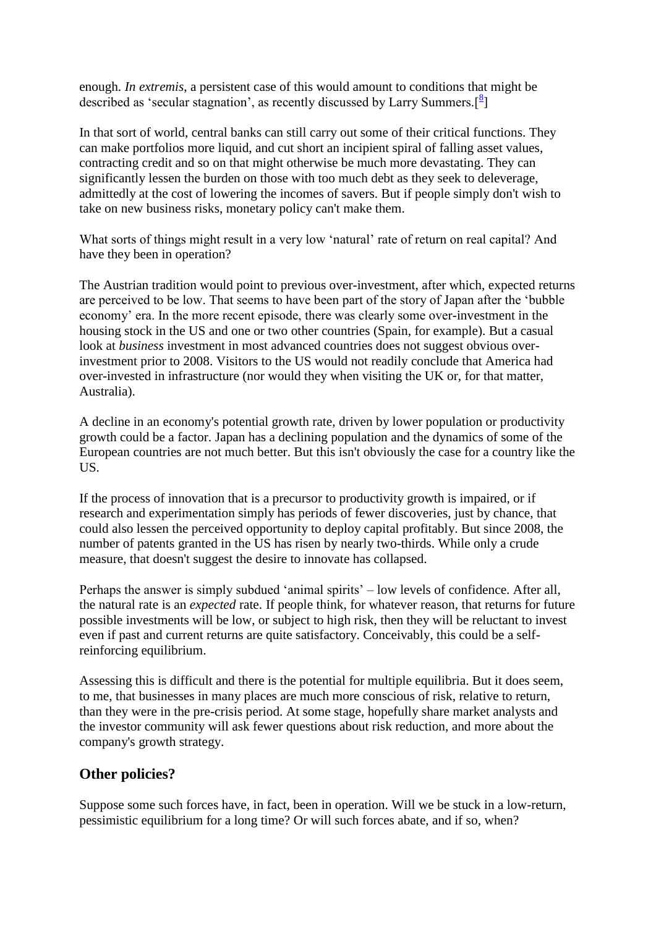enough. *In extremis*, a persistent case of this would amount to conditions that might be described as 'secular stagnation', as recently discussed by Larry Summers.<sup>[[8](http://www.rba.gov.au/speeches/2014/sp-gov-220714.html#f8)]</sup>

In that sort of world, central banks can still carry out some of their critical functions. They can make portfolios more liquid, and cut short an incipient spiral of falling asset values, contracting credit and so on that might otherwise be much more devastating. They can significantly lessen the burden on those with too much debt as they seek to deleverage, admittedly at the cost of lowering the incomes of savers. But if people simply don't wish to take on new business risks, monetary policy can't make them.

What sorts of things might result in a very low 'natural' rate of return on real capital? And have they been in operation?

The Austrian tradition would point to previous over-investment, after which, expected returns are perceived to be low. That seems to have been part of the story of Japan after the 'bubble economy' era. In the more recent episode, there was clearly some over-investment in the housing stock in the US and one or two other countries (Spain, for example). But a casual look at *business* investment in most advanced countries does not suggest obvious overinvestment prior to 2008. Visitors to the US would not readily conclude that America had over-invested in infrastructure (nor would they when visiting the UK or, for that matter, Australia).

A decline in an economy's potential growth rate, driven by lower population or productivity growth could be a factor. Japan has a declining population and the dynamics of some of the European countries are not much better. But this isn't obviously the case for a country like the US.

If the process of innovation that is a precursor to productivity growth is impaired, or if research and experimentation simply has periods of fewer discoveries, just by chance, that could also lessen the perceived opportunity to deploy capital profitably. But since 2008, the number of patents granted in the US has risen by nearly two-thirds. While only a crude measure, that doesn't suggest the desire to innovate has collapsed.

Perhaps the answer is simply subdued 'animal spirits' – low levels of confidence. After all, the natural rate is an *expected* rate. If people think, for whatever reason, that returns for future possible investments will be low, or subject to high risk, then they will be reluctant to invest even if past and current returns are quite satisfactory. Conceivably, this could be a selfreinforcing equilibrium.

Assessing this is difficult and there is the potential for multiple equilibria. But it does seem, to me, that businesses in many places are much more conscious of risk, relative to return, than they were in the pre-crisis period. At some stage, hopefully share market analysts and the investor community will ask fewer questions about risk reduction, and more about the company's growth strategy.

#### **Other policies?**

Suppose some such forces have, in fact, been in operation. Will we be stuck in a low-return, pessimistic equilibrium for a long time? Or will such forces abate, and if so, when?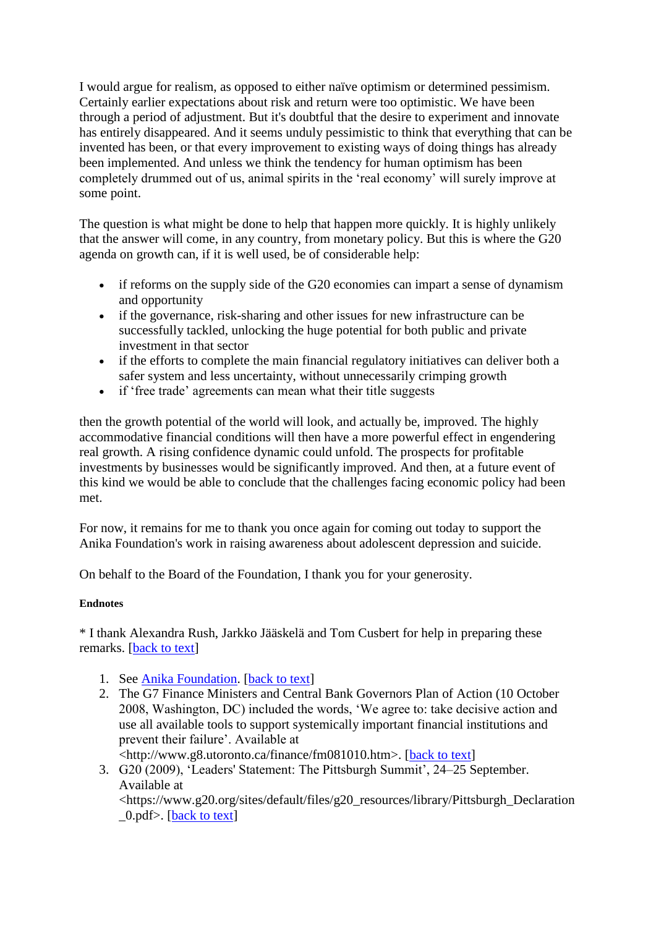I would argue for realism, as opposed to either naïve optimism or determined pessimism. Certainly earlier expectations about risk and return were too optimistic. We have been through a period of adjustment. But it's doubtful that the desire to experiment and innovate has entirely disappeared. And it seems unduly pessimistic to think that everything that can be invented has been, or that every improvement to existing ways of doing things has already been implemented. And unless we think the tendency for human optimism has been completely drummed out of us, animal spirits in the 'real economy' will surely improve at some point.

The question is what might be done to help that happen more quickly. It is highly unlikely that the answer will come, in any country, from monetary policy. But this is where the G20 agenda on growth can, if it is well used, be of considerable help:

- if reforms on the supply side of the G20 economies can impart a sense of dynamism and opportunity
- if the governance, risk-sharing and other issues for new infrastructure can be successfully tackled, unlocking the huge potential for both public and private investment in that sector
- if the efforts to complete the main financial regulatory initiatives can deliver both a safer system and less uncertainty, without unnecessarily crimping growth
- if 'free trade' agreements can mean what their title suggests

then the growth potential of the world will look, and actually be, improved. The highly accommodative financial conditions will then have a more powerful effect in engendering real growth. A rising confidence dynamic could unfold. The prospects for profitable investments by businesses would be significantly improved. And then, at a future event of this kind we would be able to conclude that the challenges facing economic policy had been met.

For now, it remains for me to thank you once again for coming out today to support the Anika Foundation's work in raising awareness about adolescent depression and suicide.

On behalf to the Board of the Foundation, I thank you for your generosity.

#### **Endnotes**

\* I thank Alexandra Rush, Jarkko Jääskelä and Tom Cusbert for help in preparing these remarks. [\[back to text\]](http://www.rba.gov.au/speeches/2014/sp-gov-220714.html#content)

- 1. See [Anika Foundation.](http://www.anikafoundation.com.au/) [\[back to text\]](http://www.rba.gov.au/speeches/2014/sp-gov-220714.html#t1)
- 2. The G7 Finance Ministers and Central Bank Governors Plan of Action (10 October 2008, Washington, DC) included the words, 'We agree to: take decisive action and use all available tools to support systemically important financial institutions and prevent their failure'. Available at

<http://www.g8.utoronto.ca/finance/fm081010.htm>. [\[back to text\]](http://www.rba.gov.au/speeches/2014/sp-gov-220714.html#t2)

3. G20 (2009), 'Leaders' Statement: The Pittsburgh Summit', 24–25 September. Available at <https://www.g20.org/sites/default/files/g20\_resources/library/Pittsburgh\_Declaration  $0.$ pdf $>$ . [\[back to](http://www.rba.gov.au/speeches/2014/sp-gov-220714.html#t3) text]